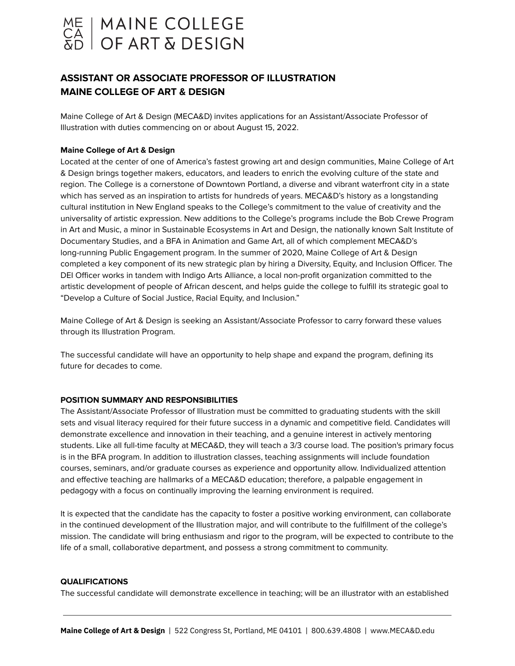

# **ASSISTANT OR ASSOCIATE PROFESSOR OF ILLUSTRATION MAINE COLLEGE OF ART & DESIGN**

Maine College of Art & Design (MECA&D) invites applications for an Assistant/Associate Professor of Illustration with duties commencing on or about August 15, 2022.

### **Maine College of Art & Design**

Located at the center of one of America's fastest growing art and design communities, Maine College of Art & Design brings together makers, educators, and leaders to enrich the evolving culture of the state and region. The College is a cornerstone of Downtown Portland, a diverse and vibrant waterfront city in a state which has served as an inspiration to artists for hundreds of years. MECA&D's history as a longstanding cultural institution in New England speaks to the College's commitment to the value of creativity and the universality of artistic expression. New additions to the College's programs include the Bob Crewe Program in Art and Music, a minor in Sustainable Ecosystems in Art and Design, the nationally known Salt Institute of Documentary Studies, and a BFA in Animation and Game Art, all of which complement MECA&D's long-running Public Engagement program. In the summer of 2020, Maine College of Art & Design completed a key component of its new strategic plan by hiring a Diversity, Equity, and Inclusion Officer. The DEI Officer works in tandem with Indigo Arts Alliance, a local non-profit organization committed to the artistic development of people of African descent, and helps guide the college to fulfill its strategic goal to "Develop a Culture of Social Justice, Racial Equity, and Inclusion."

Maine College of Art & Design is seeking an Assistant/Associate Professor to carry forward these values through its Illustration Program.

The successful candidate will have an opportunity to help shape and expand the program, defining its future for decades to come.

### **POSITION SUMMARY AND RESPONSIBILITIES**

The Assistant/Associate Professor of Illustration must be committed to graduating students with the skill sets and visual literacy required for their future success in a dynamic and competitive field. Candidates will demonstrate excellence and innovation in their teaching, and a genuine interest in actively mentoring students. Like all full-time faculty at MECA&D, they will teach a 3/3 course load. The position's primary focus is in the BFA program. In addition to illustration classes, teaching assignments will include foundation courses, seminars, and/or graduate courses as experience and opportunity allow. Individualized attention and effective teaching are hallmarks of a MECA&D education; therefore, a palpable engagement in pedagogy with a focus on continually improving the learning environment is required.

It is expected that the candidate has the capacity to foster a positive working environment, can collaborate in the continued development of the Illustration major, and will contribute to the fulfillment of the college's mission. The candidate will bring enthusiasm and rigor to the program, will be expected to contribute to the life of a small, collaborative department, and possess a strong commitment to community.

#### **QUALIFICATIONS**

The successful candidate will demonstrate excellence in teaching; will be an illustrator with an established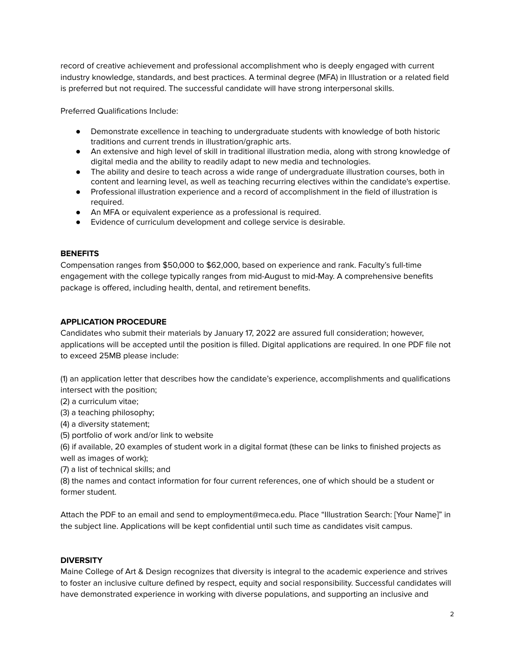record of creative achievement and professional accomplishment who is deeply engaged with current industry knowledge, standards, and best practices. A terminal degree (MFA) in Illustration or a related field is preferred but not required. The successful candidate will have strong interpersonal skills.

Preferred Qualifications Include:

- Demonstrate excellence in teaching to undergraduate students with knowledge of both historic traditions and current trends in illustration/graphic arts.
- An extensive and high level of skill in traditional illustration media, along with strong knowledge of digital media and the ability to readily adapt to new media and technologies.
- The ability and desire to teach across a wide range of undergraduate illustration courses, both in content and learning level, as well as teaching recurring electives within the candidate's expertise.
- Professional illustration experience and a record of accomplishment in the field of illustration is required.
- An MFA or equivalent experience as a professional is required.
- Evidence of curriculum development and college service is desirable.

### **BENEFITS**

Compensation ranges from \$50,000 to \$62,000, based on experience and rank. Faculty's full-time engagement with the college typically ranges from mid-August to mid-May. A comprehensive benefits package is offered, including health, dental, and retirement benefits.

### **APPLICATION PROCEDURE**

Candidates who submit their materials by January 17, 2022 are assured full consideration; however, applications will be accepted until the position is filled. Digital applications are required. In one PDF file not to exceed 25MB please include:

(1) an application letter that describes how the candidate's experience, accomplishments and qualifications intersect with the position;

- (2) a curriculum vitae;
- (3) a teaching philosophy;
- (4) a diversity statement;
- (5) portfolio of work and/or link to website

(6) if available, 20 examples of student work in a digital format (these can be links to finished projects as well as images of work);

(7) a list of technical skills; and

(8) the names and contact information for four current references, one of which should be a student or former student.

Attach the PDF to an email and send to employment@meca.edu. Place "Illustration Search: [Your Name]" in the subject line. Applications will be kept confidential until such time as candidates visit campus.

# **DIVERSITY**

Maine College of Art & Design recognizes that diversity is integral to the academic experience and strives to foster an inclusive culture defined by respect, equity and social responsibility. Successful candidates will have demonstrated experience in working with diverse populations, and supporting an inclusive and